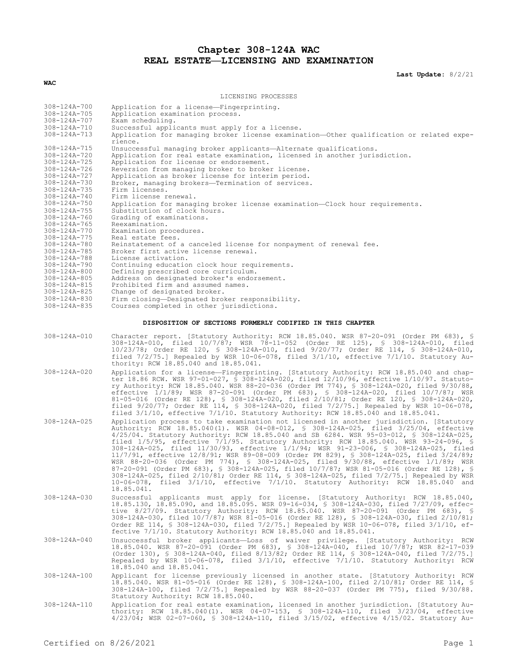## **Chapter 308-124A WAC REAL ESTATE—LICENSING AND EXAMINATION**

**Last Update:** 8/2/21

| LICENSING PROCESSES                                       |                                                                                                                                                                                                                                                                                                                                                                                                                                                                                                                                                                                                                                                                                                                                                                                                                                                                                                                                                              |  |  |
|-----------------------------------------------------------|--------------------------------------------------------------------------------------------------------------------------------------------------------------------------------------------------------------------------------------------------------------------------------------------------------------------------------------------------------------------------------------------------------------------------------------------------------------------------------------------------------------------------------------------------------------------------------------------------------------------------------------------------------------------------------------------------------------------------------------------------------------------------------------------------------------------------------------------------------------------------------------------------------------------------------------------------------------|--|--|
| 308-124A-700                                              | Application for a license-Fingerprinting.                                                                                                                                                                                                                                                                                                                                                                                                                                                                                                                                                                                                                                                                                                                                                                                                                                                                                                                    |  |  |
| $308 - 124A - 705$<br>308-124A-707                        | Application examination process.<br>Exam scheduling.                                                                                                                                                                                                                                                                                                                                                                                                                                                                                                                                                                                                                                                                                                                                                                                                                                                                                                         |  |  |
| 308-124A-710                                              | Successful applicants must apply for a license.                                                                                                                                                                                                                                                                                                                                                                                                                                                                                                                                                                                                                                                                                                                                                                                                                                                                                                              |  |  |
| 308-124A-713                                              | Application for managing broker license examination-Other qualification or related expe-<br>rience.                                                                                                                                                                                                                                                                                                                                                                                                                                                                                                                                                                                                                                                                                                                                                                                                                                                          |  |  |
| 308-124A-715                                              | Unsuccessful managing broker applicants—Alternate qualifications.                                                                                                                                                                                                                                                                                                                                                                                                                                                                                                                                                                                                                                                                                                                                                                                                                                                                                            |  |  |
| 308-124A-720<br>$308 - 124A - 725$                        | Application for real estate examination, licensed in another jurisdiction.<br>Application for license or endorsement.                                                                                                                                                                                                                                                                                                                                                                                                                                                                                                                                                                                                                                                                                                                                                                                                                                        |  |  |
| 308-124A-726                                              | Reversion from managing broker to broker license.                                                                                                                                                                                                                                                                                                                                                                                                                                                                                                                                                                                                                                                                                                                                                                                                                                                                                                            |  |  |
| 308-124A-727                                              | Application as broker license for interim period.                                                                                                                                                                                                                                                                                                                                                                                                                                                                                                                                                                                                                                                                                                                                                                                                                                                                                                            |  |  |
| 308-124A-730<br>$308 - 124A - 735$                        | Broker, managing brokers-Termination of services.<br>Firm licenses.                                                                                                                                                                                                                                                                                                                                                                                                                                                                                                                                                                                                                                                                                                                                                                                                                                                                                          |  |  |
| 308-124A-740                                              | Firm license renewal.                                                                                                                                                                                                                                                                                                                                                                                                                                                                                                                                                                                                                                                                                                                                                                                                                                                                                                                                        |  |  |
| $308 - 124A - 750$<br>$308 - 124A - 755$                  | Application for managing broker license examination-Clock hour requirements.<br>Substitution of clock hours.                                                                                                                                                                                                                                                                                                                                                                                                                                                                                                                                                                                                                                                                                                                                                                                                                                                 |  |  |
| 308-124A-760                                              | Grading of examinations.                                                                                                                                                                                                                                                                                                                                                                                                                                                                                                                                                                                                                                                                                                                                                                                                                                                                                                                                     |  |  |
| $308 - 124A - 765$                                        | Reexamination.                                                                                                                                                                                                                                                                                                                                                                                                                                                                                                                                                                                                                                                                                                                                                                                                                                                                                                                                               |  |  |
| 308-124A-770<br>$308 - 124A - 775$                        | Examination procedures.<br>Real estate fees.                                                                                                                                                                                                                                                                                                                                                                                                                                                                                                                                                                                                                                                                                                                                                                                                                                                                                                                 |  |  |
| 308-124A-780                                              | Reinstatement of a canceled license for nonpayment of renewal fee.                                                                                                                                                                                                                                                                                                                                                                                                                                                                                                                                                                                                                                                                                                                                                                                                                                                                                           |  |  |
| 308-124A-785<br>308-124A-788                              | Broker first active license renewal.<br>License activation.                                                                                                                                                                                                                                                                                                                                                                                                                                                                                                                                                                                                                                                                                                                                                                                                                                                                                                  |  |  |
| 308-124A-790                                              | Continuing education clock hour requirements.                                                                                                                                                                                                                                                                                                                                                                                                                                                                                                                                                                                                                                                                                                                                                                                                                                                                                                                |  |  |
| $308 - 124A - 800$                                        | Defining prescribed core curriculum.                                                                                                                                                                                                                                                                                                                                                                                                                                                                                                                                                                                                                                                                                                                                                                                                                                                                                                                         |  |  |
| $308 - 124A - 805$<br>$308 - 124A - 815$                  | Address on designated broker's endorsement.<br>Prohibited firm and assumed names.                                                                                                                                                                                                                                                                                                                                                                                                                                                                                                                                                                                                                                                                                                                                                                                                                                                                            |  |  |
| $308 - 124A - 825$                                        | Change of designated broker.                                                                                                                                                                                                                                                                                                                                                                                                                                                                                                                                                                                                                                                                                                                                                                                                                                                                                                                                 |  |  |
| 308-124A-830<br>308-124A-835                              | Firm closing-Designated broker responsibility.<br>Courses completed in other jurisdictions.                                                                                                                                                                                                                                                                                                                                                                                                                                                                                                                                                                                                                                                                                                                                                                                                                                                                  |  |  |
|                                                           |                                                                                                                                                                                                                                                                                                                                                                                                                                                                                                                                                                                                                                                                                                                                                                                                                                                                                                                                                              |  |  |
| DISPOSITION OF SECTIONS FORMERLY CODIFIED IN THIS CHAPTER |                                                                                                                                                                                                                                                                                                                                                                                                                                                                                                                                                                                                                                                                                                                                                                                                                                                                                                                                                              |  |  |
| 308-124A-010                                              | Character report. [Statutory Authority: RCW 18.85.040. WSR 87-20-091 (Order PM 683), §<br>308-124A-010, filed 10/7/87; WSR 78-11-052 (Order RE 125), § 308-124A-010, filed<br>10/23/78; Order RE 120, § 308-124A-010, filed 9/20/77; Order RE 114, § 308-124A-010,<br>filed $7/2/75$ .] Repealed by WSR 10-06-078, filed $3/1/10$ , effective $7/1/10$ . Statutory Au-<br>thority: RCW 18.85.040 and 18.85.041.                                                                                                                                                                                                                                                                                                                                                                                                                                                                                                                                              |  |  |
| 308-124A-020                                              | Application for a license—Fingerprinting. [Statutory Authority: RCW 18.85.040 and chap-<br>ter 18.86 RCW. WSR 97-01-027, § 308-124A-020, filed 12/10/96, effective 1/10/97. Statuto-<br>ry Authority: RCW 18.85.040. WSR 88-20-036 (Order PM 774), § 308-124A-020, filed 9/30/88,<br>effective 1/1/89; WSR 87-20-091 (Order PM 683), § 308-124A-020, filed 10/7/87; WSR<br>81-05-016 (Order RE 128), § 308-124A-020, filed 2/10/81; Order RE 120, § 308-124A-020,<br>filed $9/20/77$ ; Order RE 114, § 308-124A-020, filed 7/2/75.] Repealed by WSR 10-06-078,<br>filed $3/1/10$ , effective $7/1/10$ . Statutory Authority: RCW 18.85.040 and 18.85.041.                                                                                                                                                                                                                                                                                                    |  |  |
| $308 - 124A - 025$                                        | Application process to take examination not licensed in another jurisdiction. [Statutory<br>Authority: RCW 18.85.040(1). WSR 04-08-012, § 308-124A-025, filed 3/25/04, effective<br>4/25/04. Statutory Authority: RCW 18.85.040 and SB 6284. WSR 95-03-012, \$ 308-124A-025,<br>filed $1/5/95$ , effective $7/1/95$ . Statutory Authority: RCW 18.85.040. WSR 93-24-096, §<br>308-124A-025, filed 11/30/93, effective 1/1/94; WSR 91-23-006, § 308-124A-025, filed<br>11/7/91, effective 12/8/91; WSR 89-08-009 (Order PM 829), § 308-124A-025, filed 3/24/89;<br>WSR 88-20-036 (Order PM 774), § 308-124A-025, filed 9/30/88, effective 1/1/89; WSR<br>87-20-091 (Order PM 683), \$ 308-124A-025, filed 10/7/87; WSR 81-05-016 (Order RE 128), \$<br>308-124A-025, filed 2/10/81; Order RE 114, \$ 308-124A-025, filed 7/2/75.] Repealed by WSR<br>$10-06-078$ , filed $3/1/10$ , effective $7/1/10$ . Statutory Authority: RCW 18.85.040 and<br>18.85.041. |  |  |
| $308 - 124A - 030$                                        | Successful applicants must apply for license. [Statutory Authority: RCW 18.85.040,<br>18.85.130, 18.85.090, and 18.85.095. WSR 09-16-034, § 308-124A-030, filed 7/27/09, effec-<br>tive 8/27/09. Statutory Authority: RCW 18.85.040. WSR 87-20-091 (Order PM 683), §<br>308-124A-030, filed 10/7/87; WSR 81-05-016 (Order RE 128), § 308-124A-030, filed 2/10/81;<br>Order RE 114, § 308-124A-030, filed 7/2/75.] Repealed by WSR 10-06-078, filed $3/1/10$ , ef-<br>fective 7/1/10. Statutory Authority: RCW 18.85.040 and 18.85.041.                                                                                                                                                                                                                                                                                                                                                                                                                       |  |  |
| $308 - 124A - 040$                                        | Unsuccessful broker applicants-Loss of waiver privilege. [Statutory Authority: RCW<br>18.85.040. WSR 87-20-091 (Order PM 683), § 308-124A-040, filed 10/7/87; WSR 82-17-039<br>(Order 130), § 308-124A-040, filed 8/13/82; Order RE 114, § 308-124A-040, filed 7/2/75.]<br>Repealed by WSR 10-06-078, filed 3/1/10, effective 7/1/10. Statutory Authority: RCW<br>18.85.040 and 18.85.041.                                                                                                                                                                                                                                                                                                                                                                                                                                                                                                                                                                   |  |  |
| $308 - 124A - 100$                                        | Applicant for license previously licensed in another state. [Statutory Authority: RCW<br>18.85.040. WSR 81-05-016 (Order RE 128), § 308-124A-100, filed 2/10/81; Order RE 114, §<br>308-124A-100, filed 7/2/75.] Repealed by WSR 88-20-037 (Order PM 775), filed 9/30/88.<br>Statutory Authority: RCW 18.85.040.                                                                                                                                                                                                                                                                                                                                                                                                                                                                                                                                                                                                                                             |  |  |
| 308-124A-110                                              | Application for real estate examination, licensed in another jurisdiction. [Statutory Au-<br>thority: RCW 18.85.040(1). WSR 04-07-153, § 308-124A-110, filed 3/23/04, effective<br>4/23/04; WSR 02-07-060, \$ 308-124A-110, filed 3/15/02, effective 4/15/02. Statutory Au-                                                                                                                                                                                                                                                                                                                                                                                                                                                                                                                                                                                                                                                                                  |  |  |

**WAC**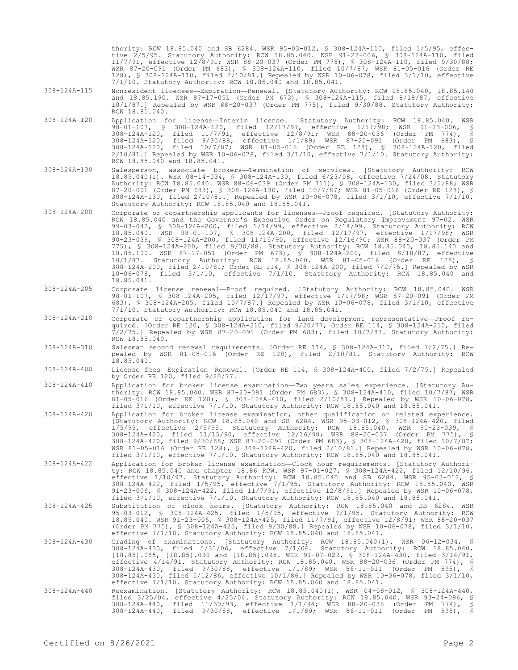thority: RCW 18.85.040 and SB 6284. WSR 95-03-012, § 308-124A-110, filed 1/5/95, effective 2/5/95. Statutory Authority: RCW 18.85.040. WSR 91-23-006, § 308-124A-110, filed 11/7/91, effective 12/8/91; WSR 88-20-037 (Order PM 775), § 308-124A-110, filed 9/30/88; WSR 87-20-091 (Order PM 683), § 308-124A-110, filed 10/7/87; WSR 81-05-016 (Order RE 128), § 308-124A-110, filed 2/10/81.] Repealed by WSR 10-06-078, filed 3/1/10, effective 7/1/10. Statutory Authority: RCW 18.85.040 and 18.85.041.

- 308-124A-115 Nonresident licenses—Expiration—Renewal. [Statutory Authority: RCW 18.85.040, 18.85.140 and 18.85.190. WSR 87-17-051 (Order PM 673), § 308-124A-115, filed 8/18/87, effective 10/1/87.] Repealed by WSR 88-20-037 (Order PM 775), filed 9/30/88. Statutory Authority: RCW 18.85.040.
- 308-124A-120 Application for license—Interim license. [Statutory Authority: RCW 18.85.040. WSR 98-01-107, § 308-124A-120, filed 12/17/97, effective 1/17/98; WSR 91-23-006, § 308-124A-120, filed 11/7/91, effective 12/8/91; WSR 88-20-036 (Order PM 774), § 308-124A-120, filed 9/30/88, effective 1/1/89; WSR 87-20-091 (Order PM 683), § 308-124A-120, filed 10/7/87; WSR 81-05-016 (Order RE 128), § 308-124A-120, filed 2/10/81.] Repealed by WSR 10-06-078, filed 3/1/10, effective 7/1/10. Statutory Authority: RCW 18.85.040 and 18.85.041.
- 308-124A-130 Salesperson, associate brokers—Termination of services. [Statutory Authority: RCW 18.85.040(1). WSR 08-14-034, § 308-124A-130, filed 6/23/08, effective 7/24/08. Statutory Authority: RCW 18.85.040. WSR 88-06-039 (Order PM 711), § 308-124A-130, filed 3/1/88; WSR 87-20-091 (Order PM 683), § 308-124A-130, filed 10/7/87; WSR 81-05-016 (Order RE 128), § 308-124A-130, filed 2/10/81.] Repealed by WSR 10-06-078, filed 3/1/10, effective 7/1/10. Statutory Authority: RCW 18.85.040 and 18.85.041.
- 308-124A-200 Corporate or copartnership applicants for licenses—Proof required. [Statutory Authority: RCW 18.85.040 and the Governor's Executive Order on Regulatory Improvement 97-02. WSR 99-03-042, § 308-124A-200, filed 1/14/99, effective 2/14/99. Statutory Authority: RCW 18.85.040. WSR 98-01-107, § 308-124A-200, filed 12/17/97, effective 1/17/98; WSR 90-23-039, § 308-124A-200, filed 11/15/90, effective 12/16/90; WSR 88-20-037 (Order PM 775), § 308-124A-200, filed 9/30/88. Statutory Authority: RCW 18.85.040, 18.85.140 and 18.85.190. WSR 87-17-051 (Order PM 673), § 308-124A-200, filed 8/18/87, effective 10/1/87. Statutory Authority: RCW 18.85.040. WSR 81-05-016 (Order RE 128), § 308-124A-200, filed 2/10/81; Order RE 114, § 308-124A-200, filed 7/2/75.] Repealed by WSR 10-06-078, filed 3/1/10, effective 7/1/10. Statutory Authority: RCW 18.85.040 and 18.85.041.
- 308-124A-205 Corporate license renewal—Proof required. [Statutory Authority: RCW 18.85.040. WSR 98-01-107, § 308-124A-205, filed 12/17/97, effective 1/17/98; WSR 87-20-091 (Order PM 683), § 308-124A-205, filed 10/7/87.] Repealed by WSR 10-06-078, filed 3/1/10, effective 7/1/10. Statutory Authority: RCW 18.85.040 and 18.85.041.
- 308-124A-210 Corporate or copartnership application for land development representative—Proof required. [Order RE 120, § 308-124A-210, filed 9/20/77; Order RE 114, § 308-124A-210, filed 7/2/75.] Repealed by WSR 87-20-091 (Order PM 683), filed 10/7/87. Statutory Authority: RCW 18.85.040.
- 308-124A-310 Salesman second renewal requirements. [Order RE 114, § 308-124A-310, filed 7/2/75.] Repealed by WSR 81-05-016 (Order RE 128), filed 2/10/81. Statutory Authority: RCW 18.85.040.
- 308-124A-400 License fees—Expiration—Renewal. [Order RE 114, § 308-124A-400, filed 7/2/75.] Repealed by Order RE 120, filed 9/20/77.
- 308-124A-410 Application for broker license examination—Two years sales experience. [Statutory Authority: RCW 18.85.040. WSR 87-20-091 (Order PM 683), § 308-124A-410, filed 10/7/87; WSR 81-05-016 (Order RE 128), § 308-124A-410, filed 2/10/81.] Repealed by WSR 10-06-078, filed 3/1/10, effective 7/1/10. Statutory Authority: RCW 18.85.040 and 18.85.041.
- 308-124A-420 Application for broker license examination, other qualification or related experience. [Statutory Authority: RCW 18.85.040 and SB 6284. WSR 95-03-012, § 308-124A-420, filed 1/5/95, effective 2/5/95. Statutory Authority: RCW 18.85.040. WSR 90-23-039, § 308-124A-420, filed 11/15/90, effective 12/16/90; WSR 88-20-037 (Order PM 775), § 308-124A-420, filed 9/30/88; WSR 87-20-091 (Order PM 683), § 308-124A-420, filed 10/7/87; WSR 81-05-016 (Order RE 128), § 308-124A-420, filed 2/10/81.] Repealed by WSR 10-06-078, filed 3/1/10, effective 7/1/10. Statutory Authority: RCW 18.85.040 and 18.85.041.
- 308-124A-422 Application for broker license examination—Clock hour requirements. [Statutory Authority: RCW 18.85.040 and chapter 18.86 RCW. WSR 97-01-027, § 308-124A-422, filed 12/10/96, effective 1/10/97. Statutory Authority: RCW 18.85.040 and SB 6284. WSR 95-03-012, § 308-124A-422, filed 1/5/95, effective 7/1/95. Statutory Authority: RCW 18.85.040. WSR 91-23-006, § 308-124A-422, filed 11/7/91, effective 12/8/91.] Repealed by WSR 10-06-078, filed 3/1/10, effective 7/1/10. Statutory Authority: RCW 18.85.040 and 18.85.041.
- 308-124A-425 Substitution of clock hours. [Statutory Authority: RCW 18.85.040 and SB 6284. WSR 95-03-012, § 308-124A-425, filed 1/5/95, effective 7/1/95. Statutory Authority: RCW 18.85.040. WSR 91-23-006, § 308-124A-425, filed 11/7/91, effective 12/8/91; WSR 88-20-037 (Order PM 775), § 308-124A-425, filed 9/30/88.] Repealed by WSR 10-06-078, filed 3/1/10, effective 7/1/10. Statutory Authority: RCW 18.85.040 and 18.85.041.
- 308-124A-430 Grading of examinations. [Statutory Authority: RCW 18.85.040(1). WSR 06-12-034, § 308-124A-430, filed 5/31/06, effective 7/1/06. Statutory Authority: RCW 18.85.040, [18.85].085, [18.85].090 and [18.85].095. WSR 91-07-029, § 308-124A-430, filed 3/14/91, effective 4/14/91. Statutory Authority: RCW 18.85.040. WSR 88-20-036 (Order PM 774), § 308-124A-430, filed 9/30/88, effective 1/1/89; WSR 86-11-011 (Order PM 595), § 308-124A-430, filed 5/12/86, effective 10/1/86.] Repealed by WSR 10-06-078, filed 3/1/10, effective 7/1/10. Statutory Authority: RCW 18.85.040 and 18.85.041.
- 308-124A-440 Reexamination. [Statutory Authority: RCW 18.85.040(1). WSR 04-08-012, § 308-124A-440, filed 3/25/04, effective 4/25/04. Statutory Authority: RCW 18.85.040. WSR 93-24-096, § 308-124A-440, filed 11/30/93, effective 1/1/94; WSR 88-20-036 (Order PM 774), § 308-124A-440, filed 9/30/88, effective 1/1/89; WSR 86-11-011 (Order PM 595), §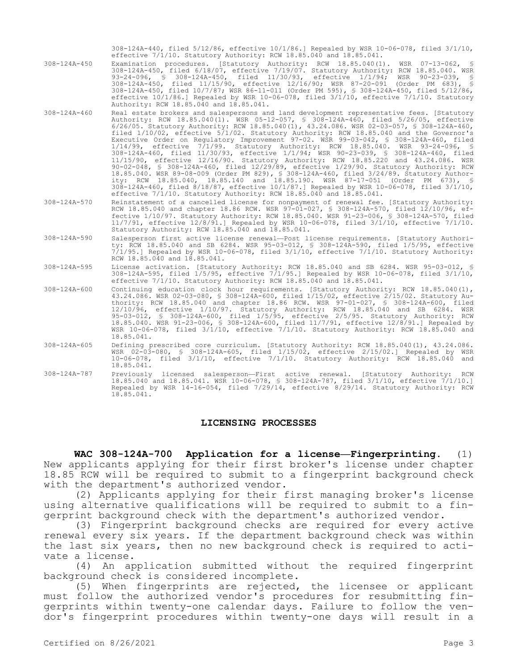308-124A-440, filed 5/12/86, effective 10/1/86.] Repealed by WSR 10-06-078, filed 3/1/10, effective 7/1/10. Statutory Authority: RCW 18.85.040 and 18.85.041.

308-124A-450 Examination procedures. [Statutory Authority: RCW 18.85.040(1). WSR 07-13-062, § 308-124A-450, filed 6/18/07, effective 7/19/07. Statutory Authority: RCW 18.85.040. WSR 93-24-096, § 308-124A-450, filed 11/30/93, effective 1/1/94; WSR 90-23-039, § 308-124A-450, filed 11/15/90, effective 12/16/90; WSR 87-20-091 (Order PM 683), § 308-124A-450, filed 10/7/87; WSR 86-11-011 (Order PM 595), § 308-124A-450, filed 5/12/86, effective 10/1/86.] Repealed by WSR 10-06-078, filed 3/1/10, effective 7/1/10. Statutory Authority: RCW 18.85.040 and 18.85.041.

308-124A-460 Real estate brokers and salespersons and land development representative fees. [Statutory Authority: RCW 18.85.040(1). WSR 05-12-057, § 308-124A-460, filed 5/26/05, effective 6/26/05. Statutory Authority: RCW 18.85.040(1), 43.24.086. WSR 02-03-057, § 308-124A-460, filed 1/10/02, effective 5/1/02. Statutory Authority: RCW 18.85.040 and the Governor's Executive Order on Regulatory Improvement 97-02. WSR 99-03-042, § 308-124A-460, filed 1/14/99, effective 7/1/99. Statutory Authority: RCW 18.85.040. WSR 93-24-096, § 308-124A-460, filed 11/30/93, effective 1/1/94; WSR 90-23-039, § 308-124A-460, filed 11/15/90, effective 12/16/90. Statutory Authority: RCW 18.85.220 and 43.24.086. WSR 90-02-048, § 308-124A-460, filed 12/29/89, effective 1/29/90. Statutory Authority: RCW 18.85.040. WSR 89-08-009 (Order PM 829), § 308-124A-460, filed 3/24/89. Statutory Authority: RCW 18.85.040, 18.85.140 and 18.85.190. WSR 87-17-051 (Order PM 673), § 308-124A-460, filed 8/18/87, effective 10/1/87.] Repealed by WSR 10-06-078, filed 3/1/10, effective 7/1/10. Statutory Authority: RCW 18.85.040 and 18.85.041.

308-124A-570 Reinstatement of a cancelled license for nonpayment of renewal fee. [Statutory Authority: RCW 18.85.040 and chapter 18.86 RCW. WSR 97-01-027, § 308-124A-570, filed 12/10/96, effective 1/10/97. Statutory Authority: RCW 18.85.040. WSR 91-23-006, § 308-124A-570, filed 11/7/91, effective 12/8/91.] Repealed by WSR 10-06-078, filed 3/1/10, effective 7/1/10. Statutory Authority: RCW 18.85.040 and 18.85.041.

308-124A-590 Salesperson first active license renewal—Post license requirements. [Statutory Authority: RCW 18.85.040 and SB 6284. WSR 95-03-012, § 308-124A-590, filed 1/5/95, effective 7/1/95.] Repealed by WSR 10-06-078, filed 3/1/10, effective 7/1/10. Statutory Authority: RCW 18.85.040 and 18.85.041.

308-124A-595 License activation. [Statutory Authority: RCW 18.85.040 and SB 6284. WSR 95-03-012, § 308-124A-595, filed 1/5/95, effective 7/1/95.] Repealed by WSR 10-06-078, filed 3/1/10, effective 7/1/10. Statutory Authority: RCW 18.85.040 and 18.85.041.

308-124A-600 Continuing education clock hour requirements. [Statutory Authority: RCW 18.85.040(1), 43.24.086. WSR 02-03-080, § 308-124A-600, filed 1/15/02, effective 2/15/02. Statutory Authority: RCW 18.85.040 and chapter 18.86 RCW. WSR 97-01-027, § 308-124A-600, filed 12/10/96, effective 1/10/97. Statutory Authority: RCW 18.85.040 and SB 6284. WSR 95-03-012, § 308-124A-600, filed 1/5/95, effective 2/5/95. Statutory Authority: RCW 18.85.040. WSR 91-23-006, § 308-124A-600, filed 11/7/91, effective 12/8/91.] Repealed by WSR 10-06-078, filed 3/1/10, effective 7/1/10. Statutory Authority: RCW 18.85.040 and 18.85.041.

308-124A-605 Defining prescribed core curriculum. [Statutory Authority: RCW 18.85.040(1), 43.24.086. WSR 02-03-080, § 308-124A-605, filed 1/15/02, effective 2/15/02.] Repealed by WSR 10-06-078, filed 3/1/10, effective 7/1/10. Statutory Authority: RCW 18.85.040 and 18.85.041.

308-124A-787 Previously licensed salesperson—First active renewal. [Statutory Authority: RCW 18.85.040 and 18.85.041. WSR 10-06-078, § 308-124A-787, filed 3/1/10, effective 7/1/10.] Repealed by WSR 14-16-054, filed 7/29/14, effective 8/29/14. Statutory Authority: RCW 18.85.041.

## **LICENSING PROCESSES**

**WAC 308-124A-700 Application for a license—Fingerprinting.** (1) New applicants applying for their first broker's license under chapter 18.85 RCW will be required to submit to a fingerprint background check with the department's authorized vendor.

(2) Applicants applying for their first managing broker's license using alternative qualifications will be required to submit to a fingerprint background check with the department's authorized vendor.

(3) Fingerprint background checks are required for every active renewal every six years. If the department background check was within the last six years, then no new background check is required to activate a license.

(4) An application submitted without the required fingerprint background check is considered incomplete.

(5) When fingerprints are rejected, the licensee or applicant must follow the authorized vendor's procedures for resubmitting fingerprints within twenty-one calendar days. Failure to follow the vendor's fingerprint procedures within twenty-one days will result in a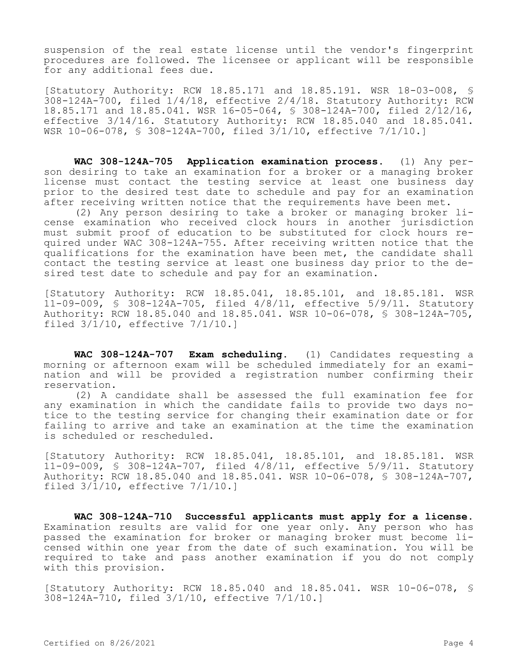suspension of the real estate license until the vendor's fingerprint procedures are followed. The licensee or applicant will be responsible for any additional fees due.

[Statutory Authority: RCW 18.85.171 and 18.85.191. WSR 18-03-008, § 308-124A-700, filed 1/4/18, effective 2/4/18. Statutory Authority: RCW 18.85.171 and 18.85.041. WSR 16-05-064, § 308-124A-700, filed 2/12/16, effective 3/14/16. Statutory Authority: RCW 18.85.040 and 18.85.041. WSR 10-06-078, § 308-124A-700, filed 3/1/10, effective 7/1/10.]

**WAC 308-124A-705 Application examination process.** (1) Any person desiring to take an examination for a broker or a managing broker license must contact the testing service at least one business day prior to the desired test date to schedule and pay for an examination after receiving written notice that the requirements have been met.

(2) Any person desiring to take a broker or managing broker license examination who received clock hours in another jurisdiction must submit proof of education to be substituted for clock hours required under WAC 308-124A-755. After receiving written notice that the qualifications for the examination have been met, the candidate shall contact the testing service at least one business day prior to the desired test date to schedule and pay for an examination.

[Statutory Authority: RCW 18.85.041, 18.85.101, and 18.85.181. WSR 11-09-009, § 308-124A-705, filed 4/8/11, effective 5/9/11. Statutory Authority: RCW 18.85.040 and 18.85.041. WSR 10-06-078, § 308-124A-705, filed 3/1/10, effective 7/1/10.]

**WAC 308-124A-707 Exam scheduling.** (1) Candidates requesting a morning or afternoon exam will be scheduled immediately for an examination and will be provided a registration number confirming their reservation.

(2) A candidate shall be assessed the full examination fee for any examination in which the candidate fails to provide two days notice to the testing service for changing their examination date or for failing to arrive and take an examination at the time the examination is scheduled or rescheduled.

[Statutory Authority: RCW 18.85.041, 18.85.101, and 18.85.181. WSR 11-09-009, § 308-124A-707, filed 4/8/11, effective 5/9/11. Statutory Authority: RCW 18.85.040 and 18.85.041. WSR 10-06-078, § 308-124A-707, filed  $3/\overline{1}/10$ , effective  $7/1/10.1$ 

**WAC 308-124A-710 Successful applicants must apply for a license.**  Examination results are valid for one year only. Any person who has passed the examination for broker or managing broker must become licensed within one year from the date of such examination. You will be required to take and pass another examination if you do not comply with this provision.

[Statutory Authority: RCW 18.85.040 and 18.85.041. WSR 10-06-078, § 308-124A-710, filed 3/1/10, effective 7/1/10.]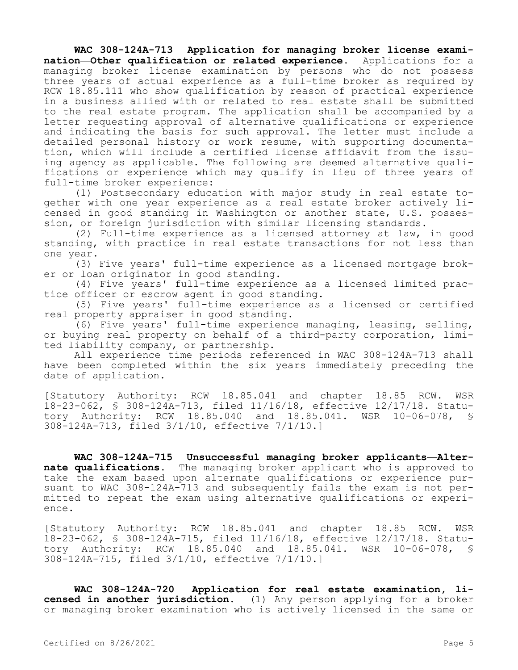**WAC 308-124A-713 Application for managing broker license examination—Other qualification or related experience.** Applications for a managing broker license examination by persons who do not possess three years of actual experience as a full-time broker as required by RCW 18.85.111 who show qualification by reason of practical experience in a business allied with or related to real estate shall be submitted to the real estate program. The application shall be accompanied by a letter requesting approval of alternative qualifications or experience and indicating the basis for such approval. The letter must include a detailed personal history or work resume, with supporting documentation, which will include a certified license affidavit from the issuing agency as applicable. The following are deemed alternative qualifications or experience which may qualify in lieu of three years of full-time broker experience:

(1) Postsecondary education with major study in real estate together with one year experience as a real estate broker actively licensed in good standing in Washington or another state, U.S. possession, or foreign jurisdiction with similar licensing standards.

(2) Full-time experience as a licensed attorney at law, in good standing, with practice in real estate transactions for not less than one year.

(3) Five years' full-time experience as a licensed mortgage broker or loan originator in good standing.

(4) Five years' full-time experience as a licensed limited practice officer or escrow agent in good standing.

(5) Five years' full-time experience as a licensed or certified real property appraiser in good standing.

(6) Five years' full-time experience managing, leasing, selling, or buying real property on behalf of a third-party corporation, limited liability company, or partnership.

All experience time periods referenced in WAC 308-124A-713 shall have been completed within the six years immediately preceding the date of application.

[Statutory Authority: RCW 18.85.041 and chapter 18.85 RCW. WSR 18-23-062, § 308-124A-713, filed 11/16/18, effective 12/17/18. Statutory Authority: RCW 18.85.040 and 18.85.041. WSR 10-06-078, § 308-124A-713, filed 3/1/10, effective 7/1/10.]

**WAC 308-124A-715 Unsuccessful managing broker applicants—Alternate qualifications.** The managing broker applicant who is approved to take the exam based upon alternate qualifications or experience pursuant to WAC 308-124A-713 and subsequently fails the exam is not permitted to repeat the exam using alternative qualifications or experience.

[Statutory Authority: RCW 18.85.041 and chapter 18.85 RCW. WSR 18-23-062, § 308-124A-715, filed 11/16/18, effective 12/17/18. Statutory Authority: RCW 18.85.040 and 18.85.041. WSR 10-06-078, § 308-124A-715, filed 3/1/10, effective 7/1/10.]

**WAC 308-124A-720 Application for real estate examination, licensed in another jurisdiction.** (1) Any person applying for a broker or managing broker examination who is actively licensed in the same or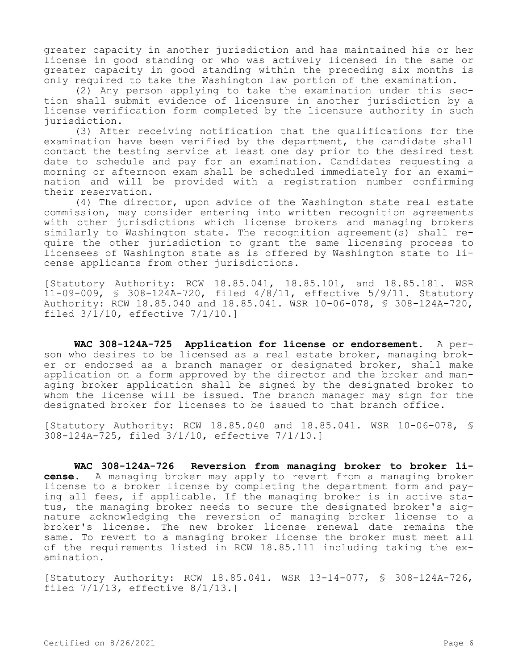greater capacity in another jurisdiction and has maintained his or her license in good standing or who was actively licensed in the same or greater capacity in good standing within the preceding six months is only required to take the Washington law portion of the examination.

(2) Any person applying to take the examination under this section shall submit evidence of licensure in another jurisdiction by a license verification form completed by the licensure authority in such jurisdiction.

(3) After receiving notification that the qualifications for the examination have been verified by the department, the candidate shall contact the testing service at least one day prior to the desired test date to schedule and pay for an examination. Candidates requesting a morning or afternoon exam shall be scheduled immediately for an examination and will be provided with a registration number confirming their reservation.

(4) The director, upon advice of the Washington state real estate commission, may consider entering into written recognition agreements with other jurisdictions which license brokers and managing brokers similarly to Washington state. The recognition agreement(s) shall require the other jurisdiction to grant the same licensing process to licensees of Washington state as is offered by Washington state to license applicants from other jurisdictions.

[Statutory Authority: RCW 18.85.041, 18.85.101, and 18.85.181. WSR 11-09-009, § 308-124A-720, filed 4/8/11, effective 5/9/11. Statutory Authority: RCW 18.85.040 and 18.85.041. WSR 10-06-078, § 308-124A-720, filed 3/1/10, effective 7/1/10.]

**WAC 308-124A-725 Application for license or endorsement.** A person who desires to be licensed as a real estate broker, managing broker or endorsed as a branch manager or designated broker, shall make application on a form approved by the director and the broker and managing broker application shall be signed by the designated broker to whom the license will be issued. The branch manager may sign for the designated broker for licenses to be issued to that branch office.

[Statutory Authority: RCW 18.85.040 and 18.85.041. WSR 10-06-078, § 308-124A-725, filed 3/1/10, effective 7/1/10.]

**WAC 308-124A-726 Reversion from managing broker to broker license.** A managing broker may apply to revert from a managing broker license to a broker license by completing the department form and paying all fees, if applicable. If the managing broker is in active status, the managing broker needs to secure the designated broker's signature acknowledging the reversion of managing broker license to a broker's license. The new broker license renewal date remains the same. To revert to a managing broker license the broker must meet all of the requirements listed in RCW 18.85.111 including taking the examination.

[Statutory Authority: RCW 18.85.041. WSR 13-14-077, § 308-124A-726, filed 7/1/13, effective 8/1/13.]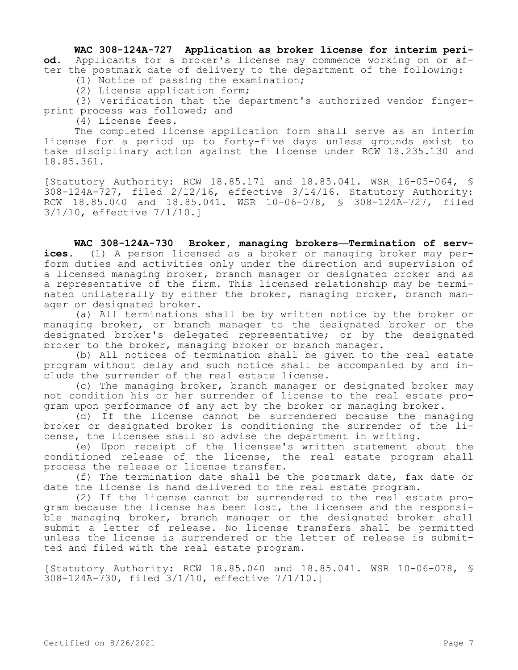**WAC 308-124A-727 Application as broker license for interim period.** Applicants for a broker's license may commence working on or after the postmark date of delivery to the department of the following:

(1) Notice of passing the examination;

(2) License application form;

(3) Verification that the department's authorized vendor fingerprint process was followed; and

(4) License fees.

The completed license application form shall serve as an interim license for a period up to forty-five days unless grounds exist to take disciplinary action against the license under RCW 18.235.130 and 18.85.361.

[Statutory Authority: RCW 18.85.171 and 18.85.041. WSR 16-05-064, § 308-124A-727, filed 2/12/16, effective 3/14/16. Statutory Authority: RCW 18.85.040 and 18.85.041. WSR 10-06-078, § 308-124A-727, filed 3/1/10, effective 7/1/10.]

**WAC 308-124A-730 Broker, managing brokers—Termination of services.** (1) A person licensed as a broker or managing broker may perform duties and activities only under the direction and supervision of a licensed managing broker, branch manager or designated broker and as a representative of the firm. This licensed relationship may be terminated unilaterally by either the broker, managing broker, branch manager or designated broker.

(a) All terminations shall be by written notice by the broker or managing broker, or branch manager to the designated broker or the designated broker's delegated representative; or by the designated broker to the broker, managing broker or branch manager.

(b) All notices of termination shall be given to the real estate program without delay and such notice shall be accompanied by and include the surrender of the real estate license.

(c) The managing broker, branch manager or designated broker may not condition his or her surrender of license to the real estate program upon performance of any act by the broker or managing broker.

(d) If the license cannot be surrendered because the managing broker or designated broker is conditioning the surrender of the license, the licensee shall so advise the department in writing.

(e) Upon receipt of the licensee's written statement about the conditioned release of the license, the real estate program shall process the release or license transfer.

(f) The termination date shall be the postmark date, fax date or date the license is hand delivered to the real estate program.

(2) If the license cannot be surrendered to the real estate program because the license has been lost, the licensee and the responsible managing broker, branch manager or the designated broker shall submit a letter of release. No license transfers shall be permitted unless the license is surrendered or the letter of release is submitted and filed with the real estate program.

[Statutory Authority: RCW 18.85.040 and 18.85.041. WSR 10-06-078, § 308-124A-730, filed 3/1/10, effective 7/1/10.]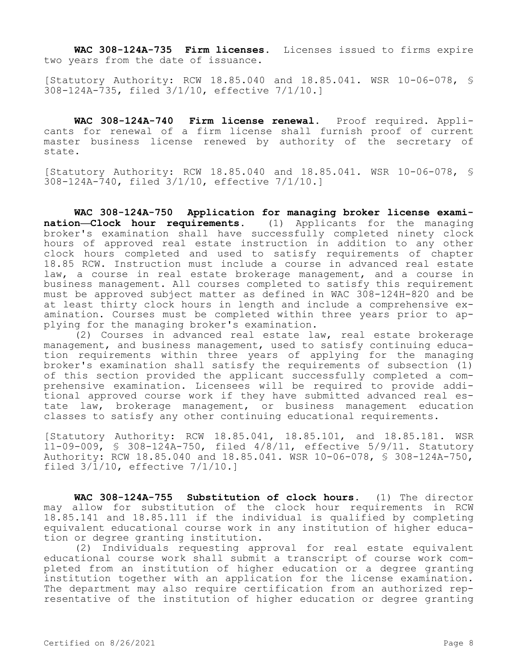**WAC 308-124A-735 Firm licenses.** Licenses issued to firms expire two years from the date of issuance.

[Statutory Authority: RCW 18.85.040 and 18.85.041. WSR 10-06-078, § 308-124A-735, filed 3/1/10, effective 7/1/10.]

**WAC 308-124A-740 Firm license renewal.** Proof required. Applicants for renewal of a firm license shall furnish proof of current master business license renewed by authority of the secretary of state.

[Statutory Authority: RCW 18.85.040 and 18.85.041. WSR 10-06-078, § 308-124A-740, filed 3/1/10, effective 7/1/10.]

**WAC 308-124A-750 Application for managing broker license examination—Clock hour requirements.** (1) Applicants for the managing broker's examination shall have successfully completed ninety clock hours of approved real estate instruction in addition to any other clock hours completed and used to satisfy requirements of chapter 18.85 RCW. Instruction must include a course in advanced real estate law, a course in real estate brokerage management, and a course in business management. All courses completed to satisfy this requirement must be approved subject matter as defined in WAC 308-124H-820 and be at least thirty clock hours in length and include a comprehensive examination. Courses must be completed within three years prior to applying for the managing broker's examination.

(2) Courses in advanced real estate law, real estate brokerage management, and business management, used to satisfy continuing education requirements within three years of applying for the managing broker's examination shall satisfy the requirements of subsection (1) of this section provided the applicant successfully completed a comprehensive examination. Licensees will be required to provide additional approved course work if they have submitted advanced real estate law, brokerage management, or business management education classes to satisfy any other continuing educational requirements.

[Statutory Authority: RCW 18.85.041, 18.85.101, and 18.85.181. WSR 11-09-009, § 308-124A-750, filed 4/8/11, effective 5/9/11. Statutory Authority: RCW 18.85.040 and 18.85.041. WSR 10-06-078, § 308-124A-750, filed 3/1/10, effective 7/1/10.]

**WAC 308-124A-755 Substitution of clock hours.** (1) The director may allow for substitution of the clock hour requirements in RCW 18.85.141 and 18.85.111 if the individual is qualified by completing equivalent educational course work in any institution of higher education or degree granting institution.

(2) Individuals requesting approval for real estate equivalent educational course work shall submit a transcript of course work completed from an institution of higher education or a degree granting institution together with an application for the license examination. The department may also require certification from an authorized representative of the institution of higher education or degree granting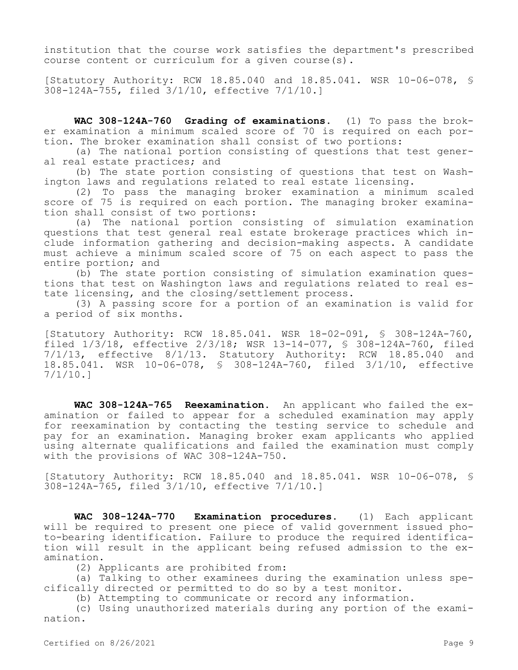institution that the course work satisfies the department's prescribed course content or curriculum for a given course(s).

[Statutory Authority: RCW 18.85.040 and 18.85.041. WSR 10-06-078, § 308-124A-755, filed 3/1/10, effective 7/1/10.]

**WAC 308-124A-760 Grading of examinations.** (1) To pass the broker examination a minimum scaled score of 70 is required on each portion. The broker examination shall consist of two portions:

(a) The national portion consisting of questions that test general real estate practices; and

(b) The state portion consisting of questions that test on Washington laws and regulations related to real estate licensing.

(2) To pass the managing broker examination a minimum scaled score of 75 is required on each portion. The managing broker examination shall consist of two portions:

(a) The national portion consisting of simulation examination questions that test general real estate brokerage practices which include information gathering and decision-making aspects. A candidate must achieve a minimum scaled score of 75 on each aspect to pass the entire portion; and

(b) The state portion consisting of simulation examination questions that test on Washington laws and regulations related to real estate licensing, and the closing/settlement process.

(3) A passing score for a portion of an examination is valid for a period of six months.

[Statutory Authority: RCW 18.85.041. WSR 18-02-091, § 308-124A-760, filed 1/3/18, effective 2/3/18; WSR 13-14-077, § 308-124A-760, filed 7/1/13, effective 8/1/13. Statutory Authority: RCW 18.85.040 and 18.85.041. WSR 10-06-078, § 308-124A-760, filed 3/1/10, effective 7/1/10.]

**WAC 308-124A-765 Reexamination.** An applicant who failed the examination or failed to appear for a scheduled examination may apply for reexamination by contacting the testing service to schedule and pay for an examination. Managing broker exam applicants who applied using alternate qualifications and failed the examination must comply with the provisions of WAC 308-124A-750.

[Statutory Authority: RCW 18.85.040 and 18.85.041. WSR 10-06-078, § 308-124A-765, filed 3/1/10, effective 7/1/10.]

**WAC 308-124A-770 Examination procedures.** (1) Each applicant will be required to present one piece of valid government issued photo-bearing identification. Failure to produce the required identification will result in the applicant being refused admission to the examination.

(2) Applicants are prohibited from:

(a) Talking to other examinees during the examination unless specifically directed or permitted to do so by a test monitor.

(b) Attempting to communicate or record any information.

(c) Using unauthorized materials during any portion of the examination.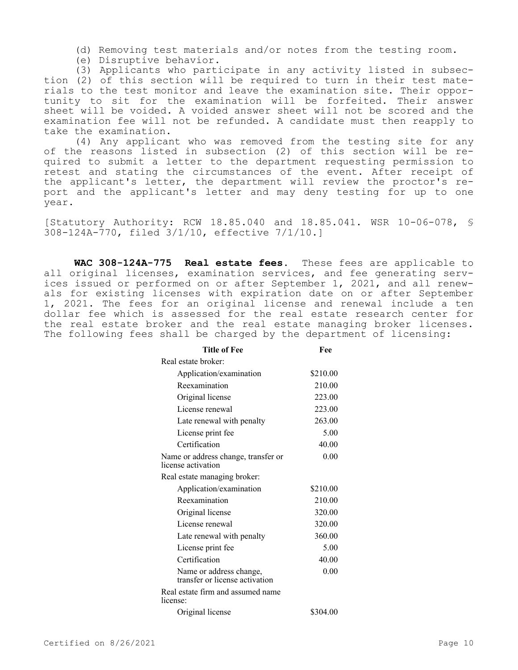(d) Removing test materials and/or notes from the testing room.

(e) Disruptive behavior.

(3) Applicants who participate in any activity listed in subsection (2) of this section will be required to turn in their test materials to the test monitor and leave the examination site. Their opportunity to sit for the examination will be forfeited. Their answer sheet will be voided. A voided answer sheet will not be scored and the examination fee will not be refunded. A candidate must then reapply to take the examination.

(4) Any applicant who was removed from the testing site for any of the reasons listed in subsection (2) of this section will be required to submit a letter to the department requesting permission to retest and stating the circumstances of the event. After receipt of the applicant's letter, the department will review the proctor's report and the applicant's letter and may deny testing for up to one year.

[Statutory Authority: RCW 18.85.040 and 18.85.041. WSR 10-06-078, § 308-124A-770, filed 3/1/10, effective 7/1/10.]

**WAC 308-124A-775 Real estate fees.** These fees are applicable to all original licenses, examination services, and fee generating services issued or performed on or after September 1, 2021, and all renewals for existing licenses with expiration date on or after September 1, 2021. The fees for an original license and renewal include a ten dollar fee which is assessed for the real estate research center for the real estate broker and the real estate managing broker licenses. The following fees shall be charged by the department of licensing:

| <b>Title of Fee</b>                                       | Fee      |
|-----------------------------------------------------------|----------|
| Real estate broker:                                       |          |
| Application/examination                                   | \$210.00 |
| Reexamination                                             | 210.00   |
| Original license                                          | 223.00   |
| License renewal                                           | 223.00   |
| Late renewal with penalty                                 | 263.00   |
| License print fee                                         | 5.00     |
| Certification                                             | 40.00    |
| Name or address change, transfer or<br>license activation | 0.00     |
| Real estate managing broker:                              |          |
| Application/examination                                   | \$210.00 |
| Reexamination                                             | 210.00   |
| Original license                                          | 320.00   |
| License renewal                                           | 320.00   |
| Late renewal with penalty                                 | 360.00   |
| License print fee                                         | 5.00     |
| Certification                                             | 40.00    |
| Name or address change,<br>transfer or license activation | 0.00     |
| Real estate firm and assumed name<br>license:             |          |
| Original license                                          | \$304.00 |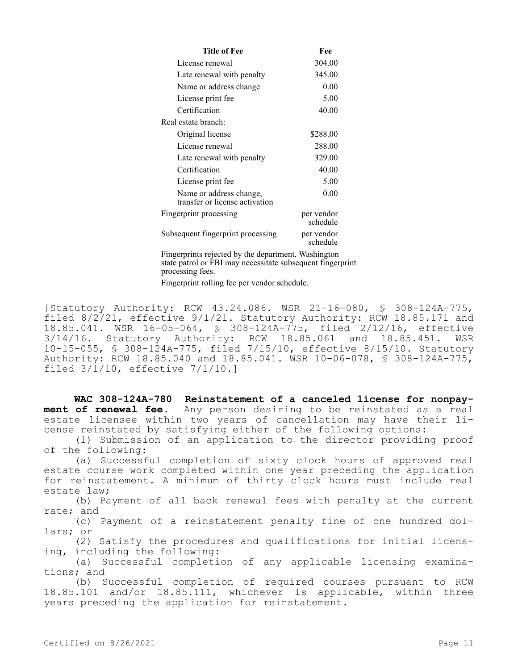| Title of Fee                                              | Fee                    |  |
|-----------------------------------------------------------|------------------------|--|
| License renewal                                           | 304.00                 |  |
| Late renewal with penalty                                 | 345.00                 |  |
| Name or address change                                    | 0.00                   |  |
| License print fee                                         | 5.00                   |  |
| Certification                                             | 40.00                  |  |
| Real estate branch:                                       |                        |  |
| Original license                                          | \$288.00               |  |
| License renewal                                           | 288.00                 |  |
| Late renewal with penalty                                 | 329.00                 |  |
| Certification                                             | 40.00                  |  |
| License print fee                                         | 5.00                   |  |
| Name or address change,<br>transfer or license activation | 0.00                   |  |
| Fingerprint processing                                    | per vendor<br>schedule |  |
| Subsequent fingerprint processing                         | per vendor<br>schedule |  |

Fingerprints rejected by the department, Washington state patrol or FBI may necessitate subsequent fingerprint processing fees.

Fingerprint rolling fee per vendor schedule.

[Statutory Authority: RCW 43.24.086. WSR 21-16-080, § 308-124A-775, filed 8/2/21, effective 9/1/21. Statutory Authority: RCW 18.85.171 and 18.85.041. WSR 16-05-064, § 308-124A-775, filed 2/12/16, effective 3/14/16. Statutory Authority: RCW 18.85.061 and 18.85.451. WSR 10-15-055, § 308-124A-775, filed 7/15/10, effective 8/15/10. Statutory Authority: RCW 18.85.040 and 18.85.041. WSR 10-06-078, § 308-124A-775, filed 3/1/10, effective 7/1/10.]

**WAC 308-124A-780 Reinstatement of a canceled license for nonpayment of renewal fee.** Any person desiring to be reinstated as a real estate licensee within two years of cancellation may have their license reinstated by satisfying either of the following options:

(1) Submission of an application to the director providing proof of the following:

(a) Successful completion of sixty clock hours of approved real estate course work completed within one year preceding the application for reinstatement. A minimum of thirty clock hours must include real estate law;

(b) Payment of all back renewal fees with penalty at the current rate; and

(c) Payment of a reinstatement penalty fine of one hundred dollars; or

(2) Satisfy the procedures and qualifications for initial licensing, including the following:

(a) Successful completion of any applicable licensing examinations; and

(b) Successful completion of required courses pursuant to RCW 18.85.101 and/or 18.85.111, whichever is applicable, within three years preceding the application for reinstatement.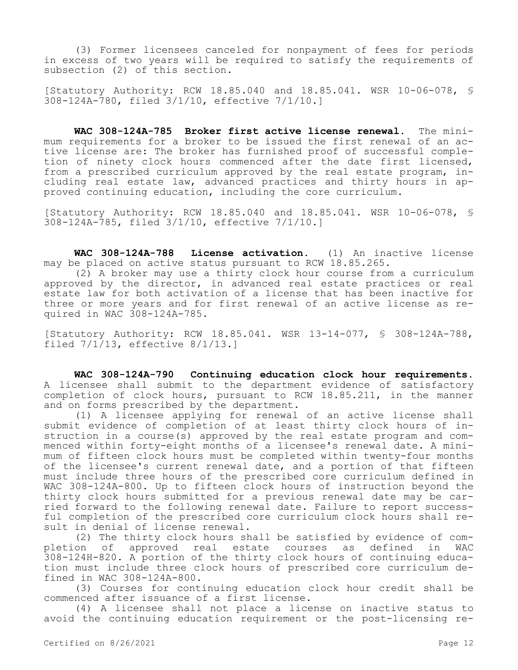(3) Former licensees canceled for nonpayment of fees for periods in excess of two years will be required to satisfy the requirements of subsection (2) of this section.

[Statutory Authority: RCW 18.85.040 and 18.85.041. WSR 10-06-078, § 308-124A-780, filed 3/1/10, effective 7/1/10.]

**WAC 308-124A-785 Broker first active license renewal.** The minimum requirements for a broker to be issued the first renewal of an active license are: The broker has furnished proof of successful completion of ninety clock hours commenced after the date first licensed, from a prescribed curriculum approved by the real estate program, including real estate law, advanced practices and thirty hours in approved continuing education, including the core curriculum.

[Statutory Authority: RCW 18.85.040 and 18.85.041. WSR 10-06-078, § 308-124A-785, filed 3/1/10, effective 7/1/10.]

**WAC 308-124A-788 License activation.** (1) An inactive license may be placed on active status pursuant to RCW 18.85.265.

(2) A broker may use a thirty clock hour course from a curriculum approved by the director, in advanced real estate practices or real estate law for both activation of a license that has been inactive for three or more years and for first renewal of an active license as required in WAC 308-124A-785.

[Statutory Authority: RCW 18.85.041. WSR 13-14-077, § 308-124A-788, filed 7/1/13, effective 8/1/13.]

**WAC 308-124A-790 Continuing education clock hour requirements.**  A licensee shall submit to the department evidence of satisfactory completion of clock hours, pursuant to RCW 18.85.211, in the manner and on forms prescribed by the department.

(1) A licensee applying for renewal of an active license shall submit evidence of completion of at least thirty clock hours of instruction in a course(s) approved by the real estate program and commenced within forty-eight months of a licensee's renewal date. A minimum of fifteen clock hours must be completed within twenty-four months of the licensee's current renewal date, and a portion of that fifteen must include three hours of the prescribed core curriculum defined in WAC 308-124A-800. Up to fifteen clock hours of instruction beyond the thirty clock hours submitted for a previous renewal date may be carried forward to the following renewal date. Failure to report successful completion of the prescribed core curriculum clock hours shall result in denial of license renewal.

(2) The thirty clock hours shall be satisfied by evidence of completion of approved real estate courses as defined in WAC 308-124H-820. A portion of the thirty clock hours of continuing education must include three clock hours of prescribed core curriculum defined in WAC 308-124A-800.

(3) Courses for continuing education clock hour credit shall be commenced after issuance of a first license.

(4) A licensee shall not place a license on inactive status to avoid the continuing education requirement or the post-licensing re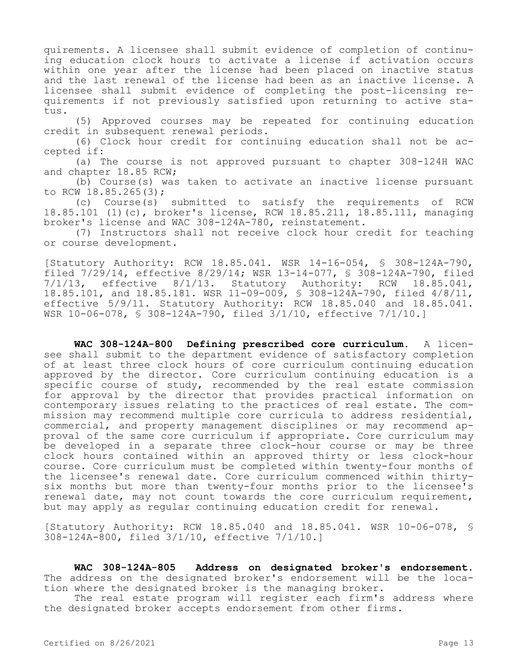quirements. A licensee shall submit evidence of completion of continuing education clock hours to activate a license if activation occurs within one year after the license had been placed on inactive status and the last renewal of the license had been as an inactive license. A licensee shall submit evidence of completing the post-licensing requirements if not previously satisfied upon returning to active status.

(5) Approved courses may be repeated for continuing education credit in subsequent renewal periods.

(6) Clock hour credit for continuing education shall not be accepted if:

(a) The course is not approved pursuant to chapter 308-124H WAC and chapter 18.85 RCW;

(b) Course(s) was taken to activate an inactive license pursuant to RCW 18.85.265(3);

(c) Course(s) submitted to satisfy the requirements of RCW 18.85.101 (1)(c), broker's license, RCW 18.85.211, 18.85.111, managing broker's license and WAC 308-124A-780, reinstatement.

(7) Instructors shall not receive clock hour credit for teaching or course development.

[Statutory Authority: RCW 18.85.041. WSR 14-16-054, § 308-124A-790, filed  $7/29/14$ , effective  $8/29/14$ ; WSR 13-14-077, § 308-124A-790, filed  $7/1/13$ , effective  $8/1/13$ . Statutory Authority: RCW 18.85.041, effective 8/1/13. Statutory Authority: RCW 18.85.041, 18.85.101, and 18.85.181. WSR 11-09-009, § 308-124A-790, filed 4/8/11, effective 5/9/11. Statutory Authority: RCW 18.85.040 and 18.85.041. WSR 10-06-078, § 308-124A-790, filed 3/1/10, effective 7/1/10.]

**WAC 308-124A-800 Defining prescribed core curriculum.** A licensee shall submit to the department evidence of satisfactory completion of at least three clock hours of core curriculum continuing education approved by the director. Core curriculum continuing education is a specific course of study, recommended by the real estate commission for approval by the director that provides practical information on contemporary issues relating to the practices of real estate. The commission may recommend multiple core curricula to address residential, commercial, and property management disciplines or may recommend approval of the same core curriculum if appropriate. Core curriculum may be developed in a separate three clock-hour course or may be three clock hours contained within an approved thirty or less clock-hour course. Core curriculum must be completed within twenty-four months of the licensee's renewal date. Core curriculum commenced within thirtysix months but more than twenty-four months prior to the licensee's renewal date, may not count towards the core curriculum requirement, but may apply as regular continuing education credit for renewal.

[Statutory Authority: RCW 18.85.040 and 18.85.041. WSR 10-06-078, § 308-124A-800, filed 3/1/10, effective 7/1/10.]

**WAC 308-124A-805 Address on designated broker's endorsement.**  The address on the designated broker's endorsement will be the location where the designated broker is the managing broker.

The real estate program will register each firm's address where the designated broker accepts endorsement from other firms.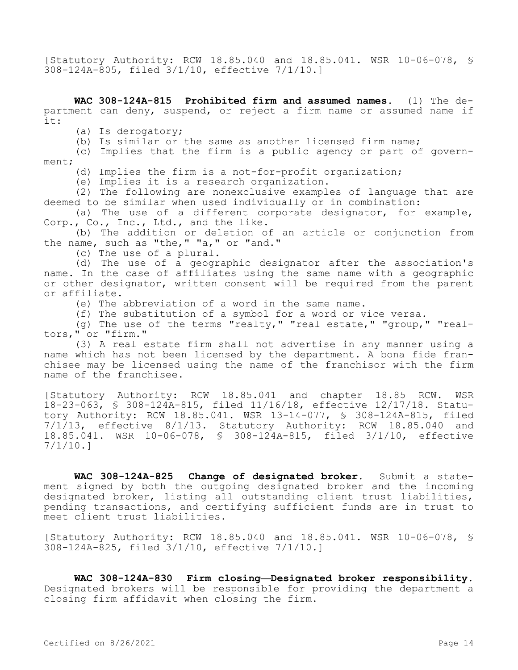[Statutory Authority: RCW 18.85.040 and 18.85.041. WSR 10-06-078, § 308-124A-805, filed 3/1/10, effective 7/1/10.]

**WAC 308-124A-815 Prohibited firm and assumed names.** (1) The department can deny, suspend, or reject a firm name or assumed name if it:

(a) Is derogatory;

(b) Is similar or the same as another licensed firm name;

(c) Implies that the firm is a public agency or part of government;

(d) Implies the firm is a not-for-profit organization;

(e) Implies it is a research organization.

(2) The following are nonexclusive examples of language that are deemed to be similar when used individually or in combination:

(a) The use of a different corporate designator, for example, Corp., Co., Inc., Ltd., and the like.

(b) The addition or deletion of an article or conjunction from the name, such as "the," "a," or "and."

(c) The use of a plural.

(d) The use of a geographic designator after the association's name. In the case of affiliates using the same name with a geographic or other designator, written consent will be required from the parent or affiliate.

(e) The abbreviation of a word in the same name.

(f) The substitution of a symbol for a word or vice versa.

(g) The use of the terms "realty," "real estate," "group," "realtors," or "firm."

(3) A real estate firm shall not advertise in any manner using a name which has not been licensed by the department. A bona fide franchisee may be licensed using the name of the franchisor with the firm name of the franchisee.

[Statutory Authority: RCW 18.85.041 and chapter 18.85 RCW. WSR 18-23-063, § 308-124A-815, filed 11/16/18, effective 12/17/18. Statutory Authority: RCW 18.85.041. WSR 13-14-077, § 308-124A-815, filed 7/1/13, effective 8/1/13. Statutory Authority: RCW 18.85.040 and 18.85.041. WSR 10-06-078, § 308-124A-815, filed 3/1/10, effective 7/1/10.]

**WAC 308-124A-825 Change of designated broker.** Submit a statement signed by both the outgoing designated broker and the incoming designated broker, listing all outstanding client trust liabilities, pending transactions, and certifying sufficient funds are in trust to meet client trust liabilities.

[Statutory Authority: RCW 18.85.040 and 18.85.041. WSR 10-06-078, § 308-124A-825, filed 3/1/10, effective 7/1/10.]

**WAC 308-124A-830 Firm closing—Designated broker responsibility.**  Designated brokers will be responsible for providing the department a closing firm affidavit when closing the firm.